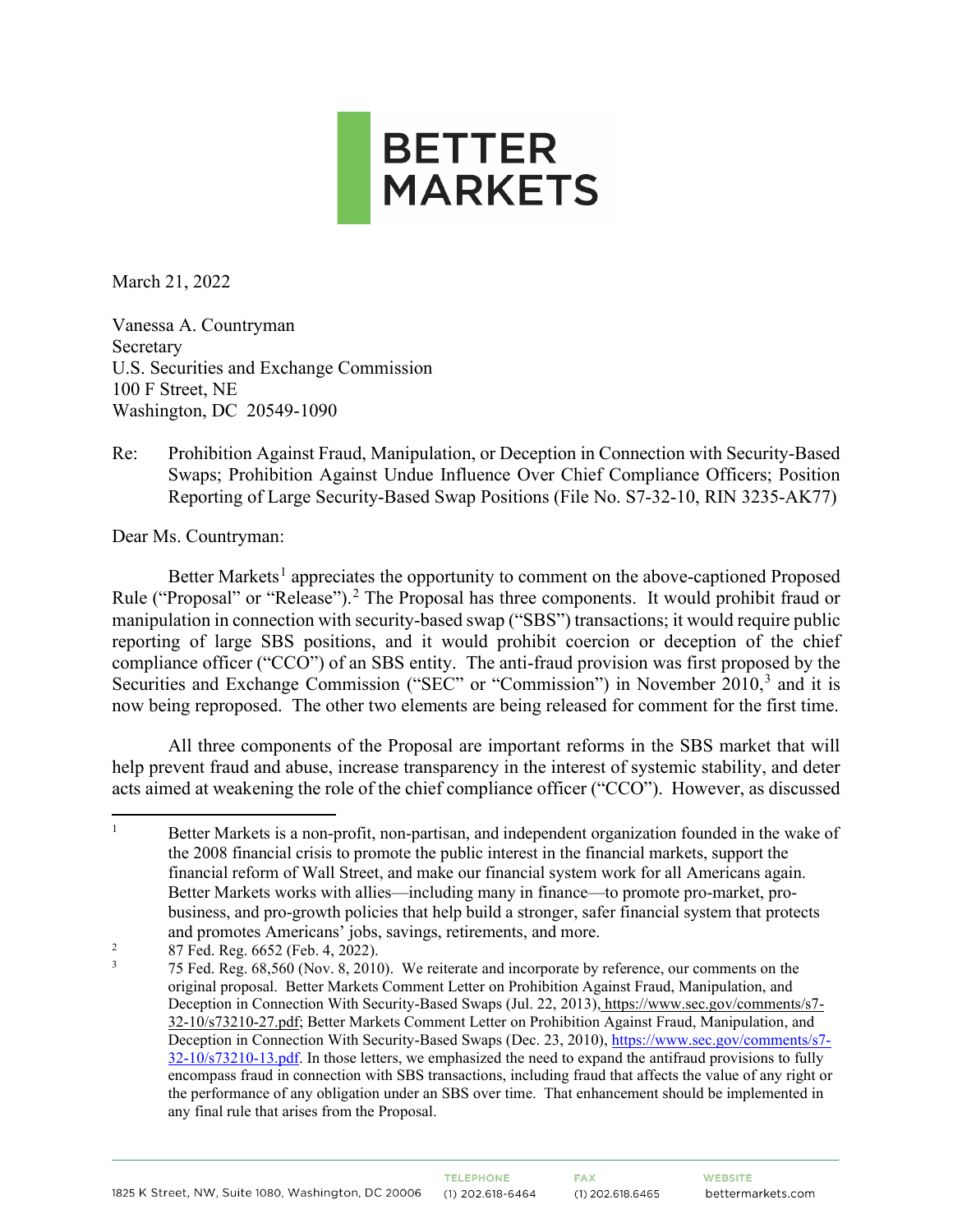

March 21, 2022

Vanessa A. Countryman Secretary U.S. Securities and Exchange Commission 100 F Street, NE Washington, DC 20549-1090

Re: Prohibition Against Fraud, Manipulation, or Deception in Connection with Security-Based Swaps; Prohibition Against Undue Influence Over Chief Compliance Officers; Position Reporting of Large Security-Based Swap Positions (File No. S7-32-10, RIN 3235-AK77)

Dear Ms. Countryman:

Better Markets<sup>[1](#page-0-0)</sup> appreciates the opportunity to comment on the above-captioned Proposed Rule ("Proposal" or "Release").<sup>[2](#page-0-1)</sup> The Proposal has three components. It would prohibit fraud or manipulation in connection with security-based swap ("SBS") transactions; it would require public reporting of large SBS positions, and it would prohibit coercion or deception of the chief compliance officer ("CCO") of an SBS entity. The anti-fraud provision was first proposed by the Securities and Exchange Commission ("SEC" or "Commission") in November 2010,<sup>[3](#page-0-2)</sup> and it is now being reproposed. The other two elements are being released for comment for the first time.

All three components of the Proposal are important reforms in the SBS market that will help prevent fraud and abuse, increase transparency in the interest of systemic stability, and deter acts aimed at weakening the role of the chief compliance officer ("CCO"). However, as discussed

<span id="page-0-1"></span>87 Fed. Reg. 6652 (Feb. 4, 2022).

<span id="page-0-0"></span><sup>1</sup> Better Markets is a non-profit, non-partisan, and independent organization founded in the wake of the 2008 financial crisis to promote the public interest in the financial markets, support the financial reform of Wall Street, and make our financial system work for all Americans again. Better Markets works with allies—including many in finance—to promote pro-market, probusiness, and pro-growth policies that help build a stronger, safer financial system that protects and promotes Americans' jobs, savings, retirements, and more.

<span id="page-0-2"></span><sup>3</sup> 75 Fed. Reg. 68,560 (Nov. 8, 2010). We reiterate and incorporate by reference, our comments on the original proposal. Better Markets Comment Letter on Prohibition Against Fraud, Manipulation, and Deception in Connection With Security-Based Swaps (Jul. 22, 2013), https://www.sec.gov/comments/s7- 32-10/s73210-27.pdf; Better Markets Comment Letter on Prohibition Against Fraud, Manipulation, and Deception in Connection With Security-Based Swaps (Dec. 23, 2010), [https://www.sec.gov/comments/s7-](https://www.sec.gov/comments/s7-32-10/s73210-13.pdf)  $32-10/s73210-13.pdf$ . In those letters, we emphasized the need to expand the antifraud provisions to fully encompass fraud in connection with SBS transactions, including fraud that affects the value of any right or the performance of any obligation under an SBS over time. That enhancement should be implemented in any final rule that arises from the Proposal.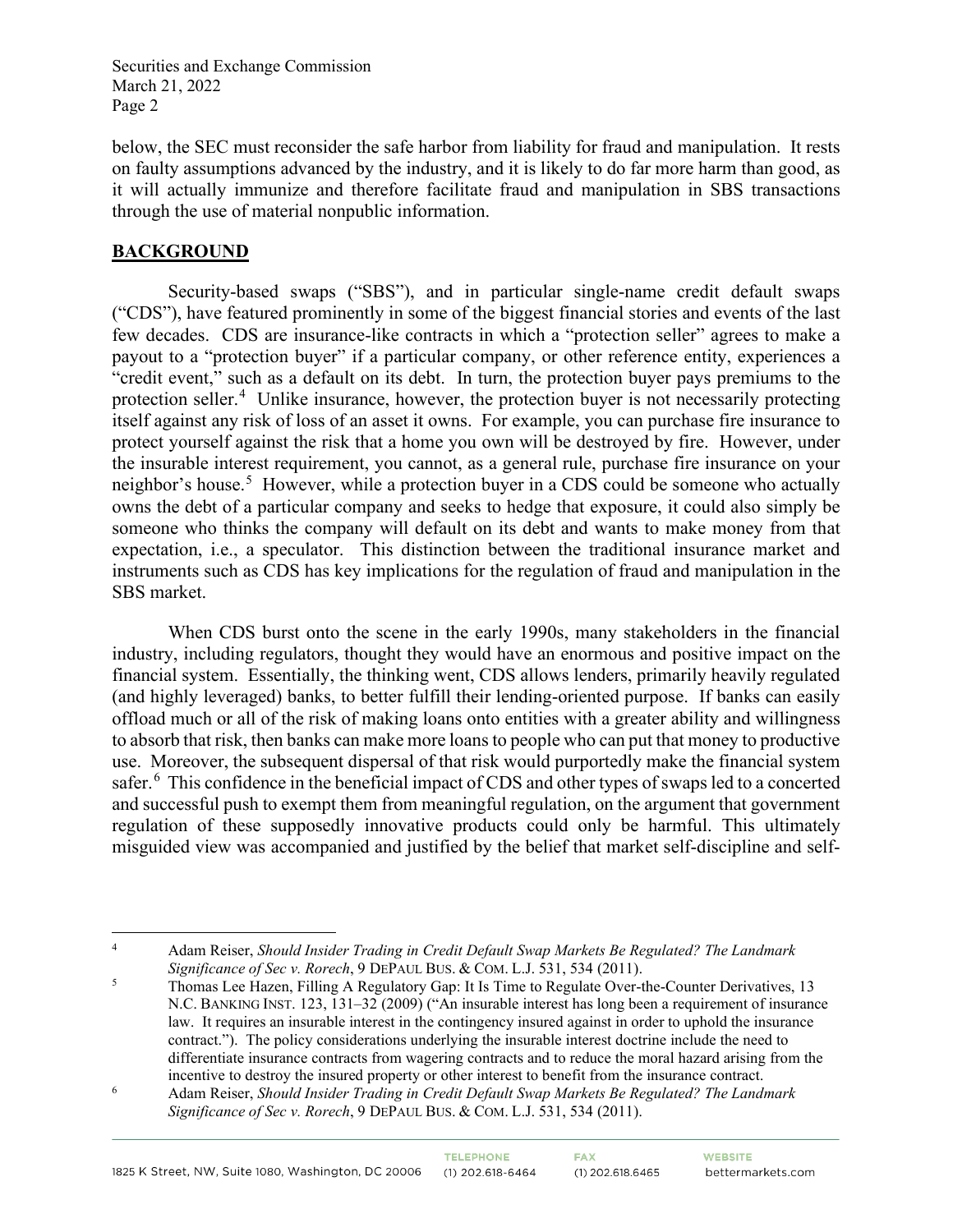below, the SEC must reconsider the safe harbor from liability for fraud and manipulation. It rests on faulty assumptions advanced by the industry, and it is likely to do far more harm than good, as it will actually immunize and therefore facilitate fraud and manipulation in SBS transactions through the use of material nonpublic information.

# **BACKGROUND**

Security-based swaps ("SBS"), and in particular single-name credit default swaps ("CDS"), have featured prominently in some of the biggest financial stories and events of the last few decades. CDS are insurance-like contracts in which a "protection seller" agrees to make a payout to a "protection buyer" if a particular company, or other reference entity, experiences a "credit event," such as a default on its debt. In turn, the protection buyer pays premiums to the protection seller.<sup>[4](#page-1-0)</sup> Unlike insurance, however, the protection buyer is not necessarily protecting itself against any risk of loss of an asset it owns. For example, you can purchase fire insurance to protect yourself against the risk that a home you own will be destroyed by fire. However, under the insurable interest requirement, you cannot, as a general rule, purchase fire insurance on your neighbor's house.<sup>[5](#page-1-1)</sup> However, while a protection buyer in a CDS could be someone who actually owns the debt of a particular company and seeks to hedge that exposure, it could also simply be someone who thinks the company will default on its debt and wants to make money from that expectation, i.e., a speculator. This distinction between the traditional insurance market and instruments such as CDS has key implications for the regulation of fraud and manipulation in the SBS market.

When CDS burst onto the scene in the early 1990s, many stakeholders in the financial industry, including regulators, thought they would have an enormous and positive impact on the financial system. Essentially, the thinking went, CDS allows lenders, primarily heavily regulated (and highly leveraged) banks, to better fulfill their lending-oriented purpose. If banks can easily offload much or all of the risk of making loans onto entities with a greater ability and willingness to absorb that risk, then banks can make more loansto people who can put that money to productive use. Moreover, the subsequent dispersal of that risk would purportedly make the financial system safer.<sup>[6](#page-1-2)</sup> This confidence in the beneficial impact of CDS and other types of swaps led to a concerted and successful push to exempt them from meaningful regulation, on the argument that government regulation of these supposedly innovative products could only be harmful. This ultimately misguided view was accompanied and justified by the belief that market self-discipline and self-

<span id="page-1-0"></span><sup>4</sup> Adam Reiser, *Should Insider Trading in Credit Default Swap Markets Be Regulated? The Landmark Significance of Sec v. Rorech*, 9 DEPAUL BUS. & COM. L.J. 531, 534 (2011).

<span id="page-1-1"></span>Thomas Lee Hazen, Filling A Regulatory Gap: It Is Time to Regulate Over-the-Counter Derivatives, 13 N.C. BANKING INST. 123, 131–32 (2009) ("An insurable interest has long been a requirement of insurance law. It requires an insurable interest in the contingency insured against in order to uphold the insurance contract."). The policy considerations underlying the insurable interest doctrine include the need to differentiate insurance contracts from wagering contracts and to reduce the moral hazard arising from the incentive to destroy the insured property or other interest to benefit from the insurance contract.

<span id="page-1-2"></span>Adam Reiser, *Should Insider Trading in Credit Default Swap Markets Be Regulated? The Landmark Significance of Sec v. Rorech*, 9 DEPAUL BUS. & COM. L.J. 531, 534 (2011).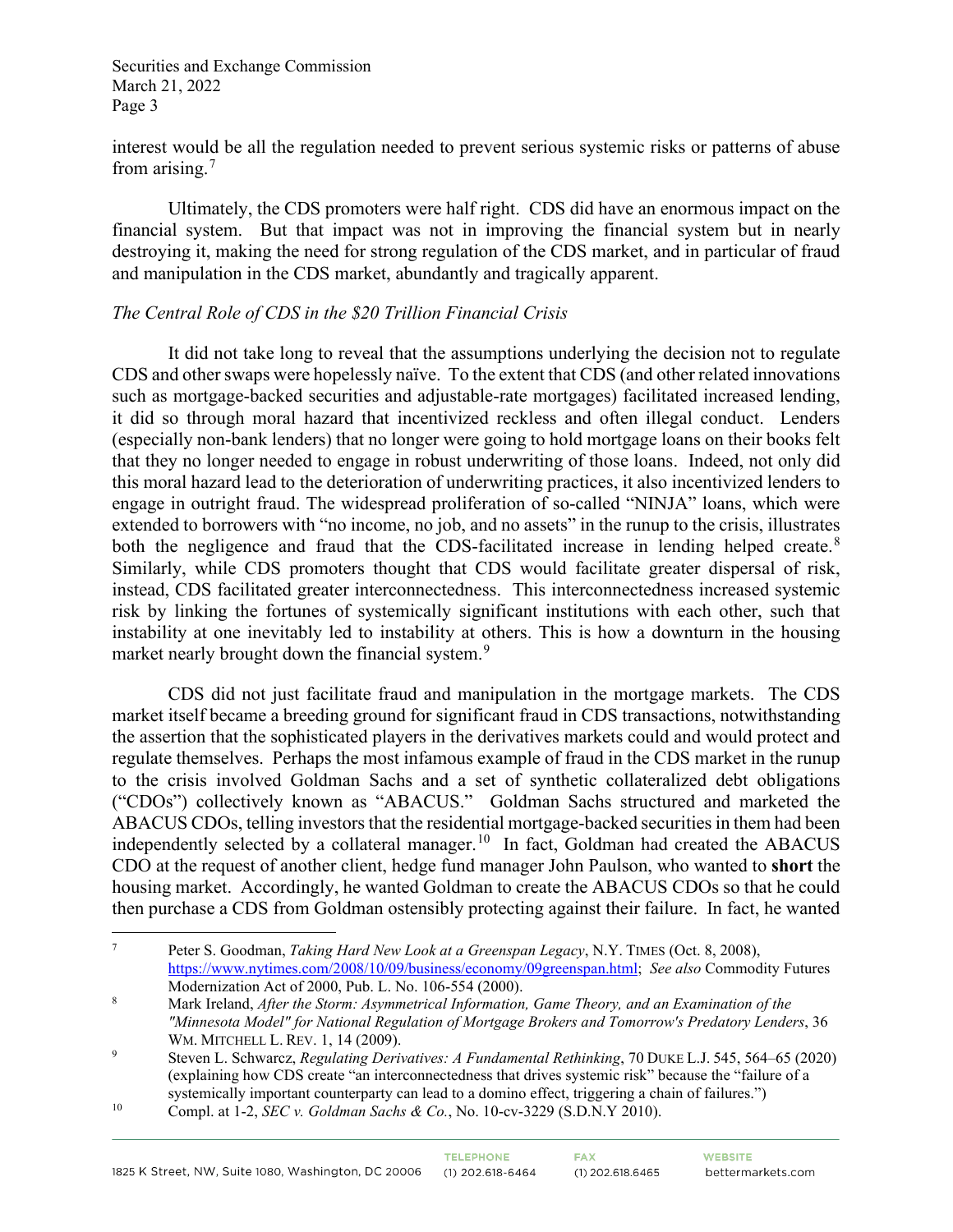interest would be all the regulation needed to prevent serious systemic risks or patterns of abuse from arising. $<sup>7</sup>$  $<sup>7</sup>$  $<sup>7</sup>$ </sup>

Ultimately, the CDS promoters were half right. CDS did have an enormous impact on the financial system. But that impact was not in improving the financial system but in nearly destroying it, making the need for strong regulation of the CDS market, and in particular of fraud and manipulation in the CDS market, abundantly and tragically apparent.

#### *The Central Role of CDS in the \$20 Trillion Financial Crisis*

It did not take long to reveal that the assumptions underlying the decision not to regulate CDS and other swaps were hopelessly naïve. To the extent that CDS (and other related innovations such as mortgage-backed securities and adjustable-rate mortgages) facilitated increased lending, it did so through moral hazard that incentivized reckless and often illegal conduct. Lenders (especially non-bank lenders) that no longer were going to hold mortgage loans on their books felt that they no longer needed to engage in robust underwriting of those loans. Indeed, not only did this moral hazard lead to the deterioration of underwriting practices, it also incentivized lenders to engage in outright fraud. The widespread proliferation of so-called "NINJA" loans, which were extended to borrowers with "no income, no job, and no assets" in the runup to the crisis, illustrates both the negligence and fraud that the CDS-facilitated increase in lending helped create.<sup>[8](#page-2-1)</sup> Similarly, while CDS promoters thought that CDS would facilitate greater dispersal of risk, instead, CDS facilitated greater interconnectedness. This interconnectedness increased systemic risk by linking the fortunes of systemically significant institutions with each other, such that instability at one inevitably led to instability at others. This is how a downturn in the housing market nearly brought down the financial system.<sup>[9](#page-2-2)</sup>

CDS did not just facilitate fraud and manipulation in the mortgage markets. The CDS market itself became a breeding ground for significant fraud in CDS transactions, notwithstanding the assertion that the sophisticated players in the derivatives markets could and would protect and regulate themselves. Perhaps the most infamous example of fraud in the CDS market in the runup to the crisis involved Goldman Sachs and a set of synthetic collateralized debt obligations ("CDOs") collectively known as "ABACUS." Goldman Sachs structured and marketed the ABACUS CDOs, telling investors that the residential mortgage-backed securities in them had been independently selected by a collateral manager.<sup>[10](#page-2-3)</sup> In fact, Goldman had created the ABACUS CDO at the request of another client, hedge fund manager John Paulson, who wanted to **short** the housing market. Accordingly, he wanted Goldman to create the ABACUS CDOs so that he could then purchase a CDS from Goldman ostensibly protecting against their failure. In fact, he wanted

<span id="page-2-0"></span><sup>7</sup> Peter S. Goodman, *Taking Hard New Look at a Greenspan Legacy*, N.Y. TIMES (Oct. 8, 2008), [https://www.nytimes.com/2008/10/09/business/economy/09greenspan.html;](https://www.nytimes.com/2008/10/09/business/economy/09greenspan.html) *See also* Commodity Futures Modernization Act of 2000, Pub. L. No. 106-554 (2000).

<span id="page-2-1"></span><sup>8</sup> Mark Ireland, *After the Storm: Asymmetrical Information, Game Theory, and an Examination of the "Minnesota Model" for National Regulation of Mortgage Brokers and Tomorrow's Predatory Lenders*, 36 WM. MITCHELL L. REV. 1, 14 (2009).

<span id="page-2-2"></span><sup>9</sup> Steven L. Schwarcz, *Regulating Derivatives: A Fundamental Rethinking*, 70 DUKE L.J. 545, 564–65 (2020) (explaining how CDS create "an interconnectedness that drives systemic risk" because the "failure of a systemically important counterparty can lead to a domino effect, triggering a chain of failures.")<br><sup>10</sup> Compl. at 1-2, *SEC v. Goldman Sachs & Co.*, No. 10-cv-3229 (S.D.N.Y 2010).

<span id="page-2-3"></span>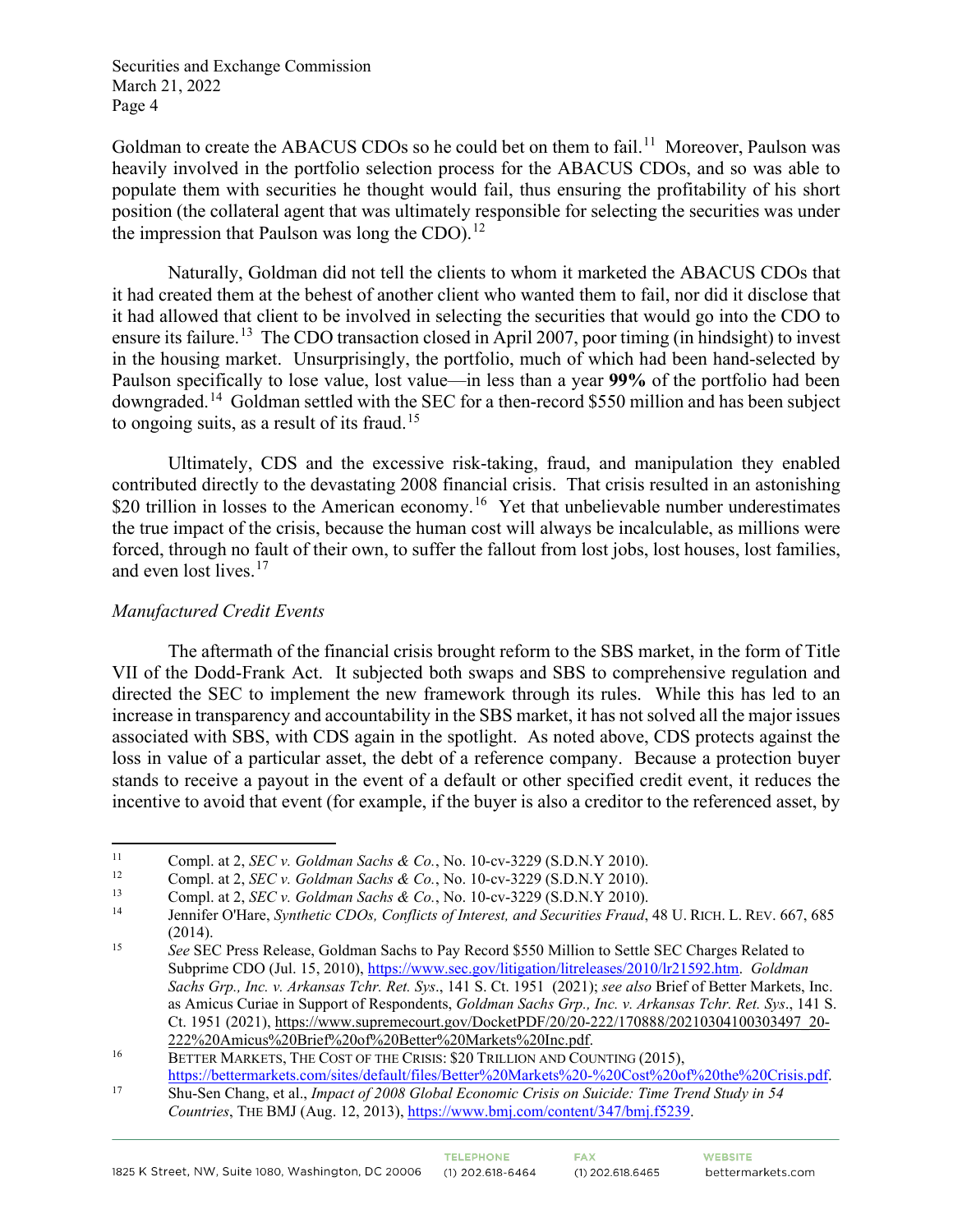Goldman to create the ABACUS CDOs so he could bet on them to fail.<sup>11</sup> Moreover, Paulson was heavily involved in the portfolio selection process for the ABACUS CDOs, and so was able to populate them with securities he thought would fail, thus ensuring the profitability of his short position (the collateral agent that was ultimately responsible for selecting the securities was under the impression that Paulson was long the CDO). $^{12}$  $^{12}$  $^{12}$ 

Naturally, Goldman did not tell the clients to whom it marketed the ABACUS CDOs that it had created them at the behest of another client who wanted them to fail, nor did it disclose that it had allowed that client to be involved in selecting the securities that would go into the CDO to ensure its failure.<sup>13</sup> The CDO transaction closed in April 2007, poor timing (in hindsight) to invest in the housing market. Unsurprisingly, the portfolio, much of which had been hand-selected by Paulson specifically to lose value, lost value—in less than a year **99%** of the portfolio had been downgraded.<sup>[14](#page-3-3)</sup> Goldman settled with the SEC for a then-record \$550 million and has been subject to ongoing suits, as a result of its fraud.<sup>[15](#page-3-4)</sup>

Ultimately, CDS and the excessive risk-taking, fraud, and manipulation they enabled contributed directly to the devastating 2008 financial crisis. That crisis resulted in an astonishing \$20 trillion in losses to the American economy.<sup>[16](#page-3-5)</sup> Yet that unbelievable number underestimates the true impact of the crisis, because the human cost will always be incalculable, as millions were forced, through no fault of their own, to suffer the fallout from lost jobs, lost houses, lost families, and even lost lives.<sup>[17](#page-3-6)</sup>

### *Manufactured Credit Events*

The aftermath of the financial crisis brought reform to the SBS market, in the form of Title VII of the Dodd-Frank Act. It subjected both swaps and SBS to comprehensive regulation and directed the SEC to implement the new framework through its rules. While this has led to an increase in transparency and accountability in the SBS market, it has not solved all the major issues associated with SBS, with CDS again in the spotlight. As noted above, CDS protects against the loss in value of a particular asset, the debt of a reference company. Because a protection buyer stands to receive a payout in the event of a default or other specified credit event, it reduces the incentive to avoid that event (for example, if the buyer is also a creditor to the referenced asset, by

<span id="page-3-0"></span><sup>11</sup> Compl. at 2, *SEC v. Goldman Sachs & Co.*, No. 10-cv-3229 (S.D.N.Y 2010).

<span id="page-3-1"></span><sup>12</sup> Compl. at 2, *SEC v. Goldman Sachs & Co.*, No. 10-cv-3229 (S.D.N.Y 2010).

<span id="page-3-2"></span><sup>13</sup> Compl. at 2, *SEC v. Goldman Sachs & Co.*, No. 10-cv-3229 (S.D.N.Y 2010).

<span id="page-3-3"></span><sup>14</sup> Jennifer O'Hare, *Synthetic CDOs, Conflicts of Interest, and Securities Fraud*, 48 U. RICH. L. REV. 667, 685

<span id="page-3-4"></span><sup>(2014). 15</sup> *See* SEC Press Release, Goldman Sachs to Pay Record \$550 Million to Settle SEC Charges Related to Subprime CDO (Jul. 15, 2010), [https://www.sec.gov/litigation/litreleases/2010/lr21592.htm.](https://www.sec.gov/litigation/litreleases/2010/lr21592.htm) *Goldman Sachs Grp., Inc. v. Arkansas Tchr. Ret. Sys*., 141 S. Ct. 1951 (2021); *see also* Brief of Better Markets, Inc. as Amicus Curiae in Support of Respondents, *Goldman Sachs Grp., Inc. v. Arkansas Tchr. Ret. Sys*., 141 S. Ct. 1951 (2021)[, https://www.supremecourt.gov/DocketPDF/20/20-222/170888/20210304100303497\\_20-](https://www.supremecourt.gov/DocketPDF/20/20-222/170888/20210304100303497_20-222%20Amicus%20Brief%20of%20Better%20Markets%20Inc.pdf)

<sup>&</sup>lt;sup>16</sup> [222%20Amicus%20Brief%20of%20Better%20Markets%20Inc.pdf.](https://www.supremecourt.gov/DocketPDF/20/20-222/170888/20210304100303497_20-222%20Amicus%20Brief%20of%20Better%20Markets%20Inc.pdf)<br><sup>16</sup> BETTER MARKETS, THE COST OF THE CRISIS: \$20 TRILLION AND COUNTING (2015),

<span id="page-3-6"></span><span id="page-3-5"></span>[https://bettermarkets.com/sites/default/files/Better%20Markets%20-%20Cost%20of%20the%20Crisis.pdf.](https://bettermarkets.com/sites/default/files/Better%20Markets%20-%20Cost%20of%20the%20Crisis.pdf) 17 Shu-Sen Chang, et al., *Impact of 2008 Global Economic Crisis on Suicide: Time Trend Study in 54 Countries*, THE BMJ (Aug. 12, 2013), [https://www.bmj.com/content/347/bmj.f5239.](https://www.bmj.com/content/347/bmj.f5239)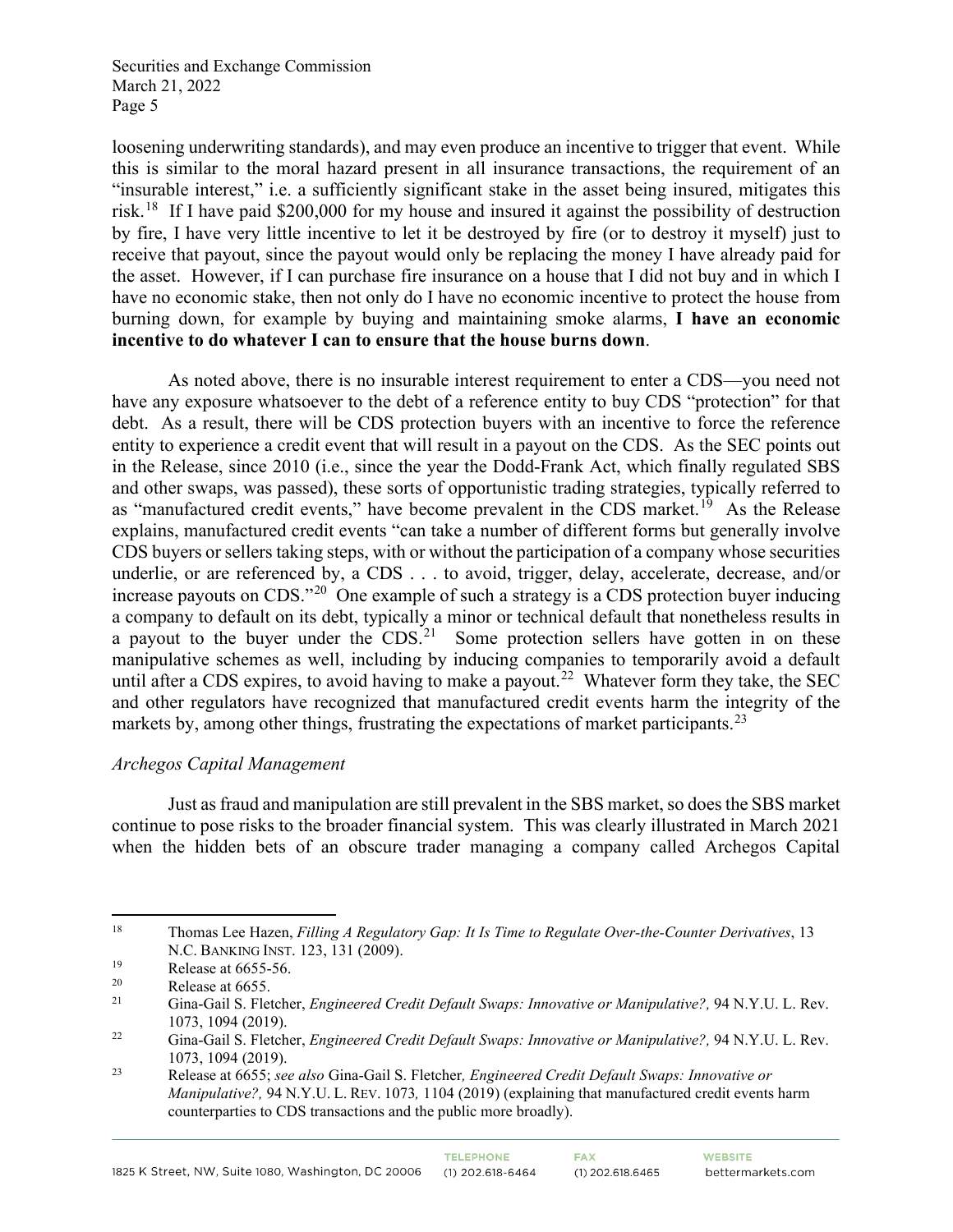loosening underwriting standards), and may even produce an incentive to trigger that event. While this is similar to the moral hazard present in all insurance transactions, the requirement of an "insurable interest," i.e. a sufficiently significant stake in the asset being insured, mitigates this risk.<sup>18</sup> If I have paid \$200,000 for my house and insured it against the possibility of destruction by fire, I have very little incentive to let it be destroyed by fire (or to destroy it myself) just to receive that payout, since the payout would only be replacing the money I have already paid for the asset. However, if I can purchase fire insurance on a house that I did not buy and in which I have no economic stake, then not only do I have no economic incentive to protect the house from burning down, for example by buying and maintaining smoke alarms, **I have an economic incentive to do whatever I can to ensure that the house burns down**.

As noted above, there is no insurable interest requirement to enter a CDS—you need not have any exposure whatsoever to the debt of a reference entity to buy CDS "protection" for that debt. As a result, there will be CDS protection buyers with an incentive to force the reference entity to experience a credit event that will result in a payout on the CDS. As the SEC points out in the Release, since 2010 (i.e., since the year the Dodd-Frank Act, which finally regulated SBS and other swaps, was passed), these sorts of opportunistic trading strategies, typically referred to as "manufactured credit events," have become prevalent in the CDS market.<sup>[19](#page-4-1)</sup> As the Release explains, manufactured credit events "can take a number of different forms but generally involve CDS buyers or sellers taking steps, with or without the participation of a company whose securities underlie, or are referenced by, a CDS . . . to avoid, trigger, delay, accelerate, decrease, and/or increase payouts on CDS."[20](#page-4-2) One example of such a strategy is a CDS protection buyer inducing a company to default on its debt, typically a minor or technical default that nonetheless results in a payout to the buyer under the  $CDS<sup>21</sup>$  Some protection sellers have gotten in on these manipulative schemes as well, including by inducing companies to temporarily avoid a default until after a CDS expires, to avoid having to make a payout.<sup>22</sup> Whatever form they take, the SEC and other regulators have recognized that manufactured credit events harm the integrity of the markets by, among other things, frustrating the expectations of market participants.<sup>[23](#page-4-5)</sup>

## *Archegos Capital Management*

Just as fraud and manipulation are still prevalent in the SBS market, so does the SBS market continue to pose risks to the broader financial system. This was clearly illustrated in March 2021 when the hidden bets of an obscure trader managing a company called Archegos Capital

<span id="page-4-0"></span><sup>18</sup> Thomas Lee Hazen, *Filling A Regulatory Gap: It Is Time to Regulate Over-the-Counter Derivatives*, 13 N.C. BANKING INST. 123, 131 (2009).

<span id="page-4-1"></span><sup>&</sup>lt;sup>19</sup> Release at 6655-56.<br>
<sup>20</sup> Pelasse at 6655-

<span id="page-4-3"></span><span id="page-4-2"></span> $\frac{20}{21}$  Release at 6655.

<sup>21</sup> Gina-Gail S. Fletcher, *Engineered Credit Default Swaps: Innovative or Manipulative?,* 94 N.Y.U. L. Rev. 1073, 1094 (2019).

<span id="page-4-4"></span><sup>22</sup> Gina-Gail S. Fletcher, *Engineered Credit Default Swaps: Innovative or Manipulative?,* 94 N.Y.U. L. Rev. 1073, 1094 (2019).

<span id="page-4-5"></span><sup>23</sup> Release at 6655; *see also* Gina-Gail S. Fletcher*, Engineered Credit Default Swaps: Innovative or Manipulative?,* 94 N.Y.U. L. REV. 1073*,* 1104 (2019) (explaining that manufactured credit events harm counterparties to CDS transactions and the public more broadly).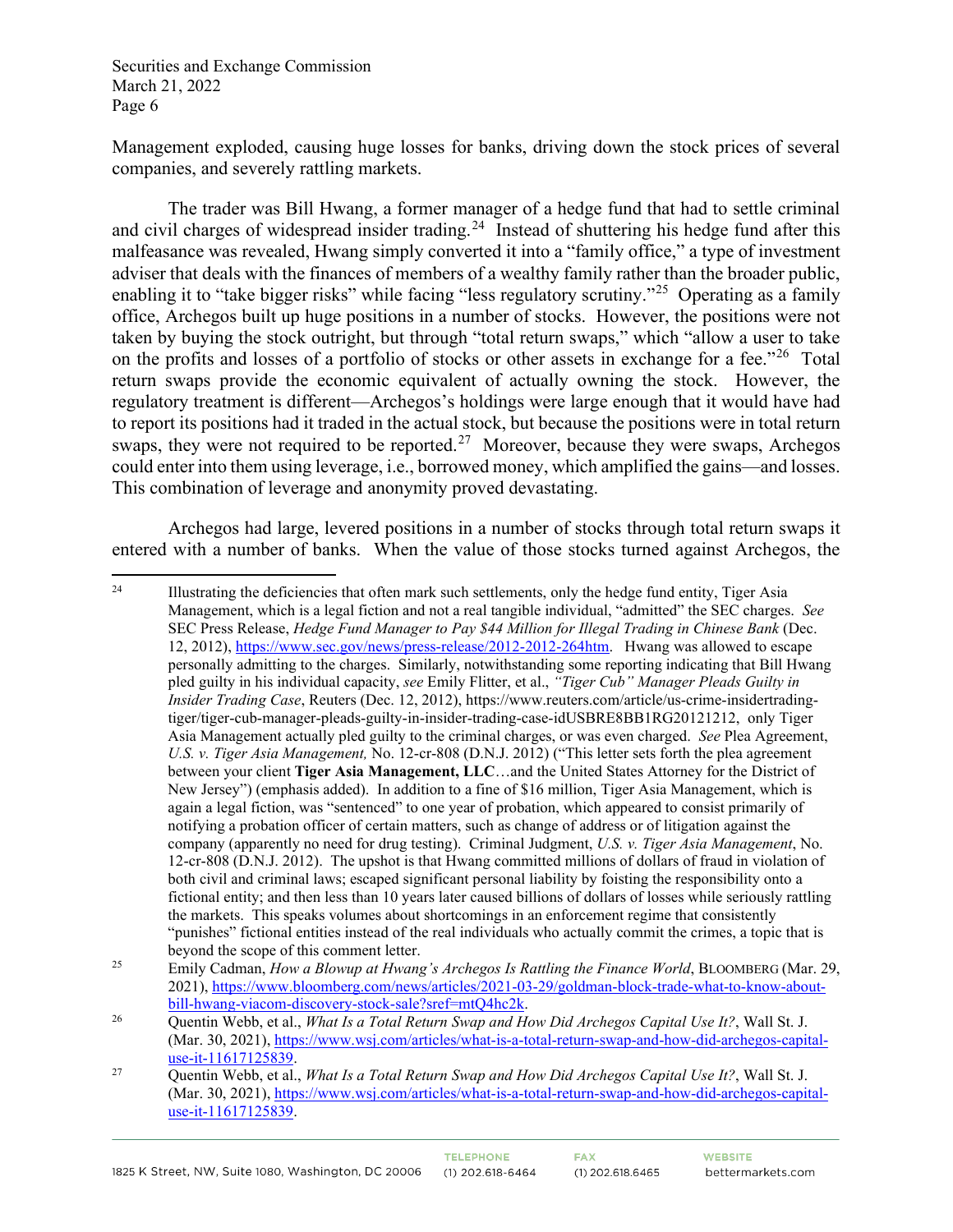Management exploded, causing huge losses for banks, driving down the stock prices of several companies, and severely rattling markets.

The trader was Bill Hwang, a former manager of a hedge fund that had to settle criminal and civil charges of widespread insider trading.<sup>24</sup> Instead of shuttering his hedge fund after this malfeasance was revealed, Hwang simply converted it into a "family office," a type of investment adviser that deals with the finances of members of a wealthy family rather than the broader public, enabling it to "take bigger risks" while facing "less regulatory scrutiny."<sup>25</sup> Operating as a family office, Archegos built up huge positions in a number of stocks. However, the positions were not taken by buying the stock outright, but through "total return swaps," which "allow a user to take on the profits and losses of a portfolio of stocks or other assets in exchange for a fee."<sup>[26](#page-5-2)</sup> Total return swaps provide the economic equivalent of actually owning the stock. However, the regulatory treatment is different—Archegos's holdings were large enough that it would have had to report its positions had it traded in the actual stock, but because the positions were in total return swaps, they were not required to be reported.<sup>27</sup> Moreover, because they were swaps, Archegos could enter into them using leverage, i.e., borrowed money, which amplified the gains—and losses. This combination of leverage and anonymity proved devastating.

Archegos had large, levered positions in a number of stocks through total return swaps it entered with a number of banks. When the value of those stocks turned against Archegos, the

<span id="page-5-0"></span><sup>&</sup>lt;sup>24</sup> Illustrating the deficiencies that often mark such settlements, only the hedge fund entity, Tiger Asia Management, which is a legal fiction and not a real tangible individual, "admitted" the SEC charges. *See*  SEC Press Release, *Hedge Fund Manager to Pay \$44 Million for Illegal Trading in Chinese Bank* (Dec. 12, 2012), [https://www.sec.gov/news/press-release/2012-2012-264htm.](https://www.sec.gov/news/press-release/2012-2012-264htm) Hwang was allowed to escape personally admitting to the charges. Similarly, notwithstanding some reporting indicating that Bill Hwang pled guilty in his individual capacity, *see* Emily Flitter, et al., *"Tiger Cub" Manager Pleads Guilty in Insider Trading Case*, Reuters (Dec. 12, 2012), https://www.reuters.com/article/us-crime-insidertradingtiger/tiger-cub-manager-pleads-guilty-in-insider-trading-case-idUSBRE8BB1RG20121212, only Tiger Asia Management actually pled guilty to the criminal charges, or was even charged. *See* Plea Agreement, *U.S. v. Tiger Asia Management,* No. 12-cr-808 (D.N.J. 2012) ("This letter sets forth the plea agreement between your client **Tiger Asia Management, LLC**…and the United States Attorney for the District of New Jersey") (emphasis added). In addition to a fine of \$16 million, Tiger Asia Management, which is again a legal fiction, was "sentenced" to one year of probation, which appeared to consist primarily of notifying a probation officer of certain matters, such as change of address or of litigation against the company (apparently no need for drug testing). Criminal Judgment, *U.S. v. Tiger Asia Management*, No. 12-cr-808 (D.N.J. 2012). The upshot is that Hwang committed millions of dollars of fraud in violation of both civil and criminal laws; escaped significant personal liability by foisting the responsibility onto a fictional entity; and then less than 10 years later caused billions of dollars of losses while seriously rattling the markets. This speaks volumes about shortcomings in an enforcement regime that consistently "punishes" fictional entities instead of the real individuals who actually commit the crimes, a topic that is beyond the scope of this comment letter.

<span id="page-5-1"></span><sup>25</sup> Emily Cadman, *How a Blowup at Hwang's Archegos Is Rattling the Finance World*, BLOOMBERG (Mar. 29, 2021), https://www.bloomberg.com/news/articles/2021-03-29/goldman-block-trade-what-to-know-about-<br>bill-hwang-viacom-discovery-stock-sale?sref=mtQ4hc2k.

<span id="page-5-2"></span><sup>&</sup>lt;sup>26</sup> Ouentin Webb, et al., *What Is a Total Return Swap and How Did Archegos Capital Use It?*, Wall St. J. (Mar. 30, 2021), [https://www.wsj.com/articles/what-is-a-total-return-swap-and-how-did-archegos-capital](https://www.wsj.com/articles/what-is-a-total-return-swap-and-how-did-archegos-capital-use-it-11617125839)[use-it-11617125839.](https://www.wsj.com/articles/what-is-a-total-return-swap-and-how-did-archegos-capital-use-it-11617125839) 27 Quentin Webb, et al., *What Is a Total Return Swap and How Did Archegos Capital Use It?*, Wall St. J.

<span id="page-5-3"></span><sup>(</sup>Mar. 30, 2021), [https://www.wsj.com/articles/what-is-a-total-return-swap-and-how-did-archegos-capital](https://www.wsj.com/articles/what-is-a-total-return-swap-and-how-did-archegos-capital-use-it-11617125839)[use-it-11617125839.](https://www.wsj.com/articles/what-is-a-total-return-swap-and-how-did-archegos-capital-use-it-11617125839)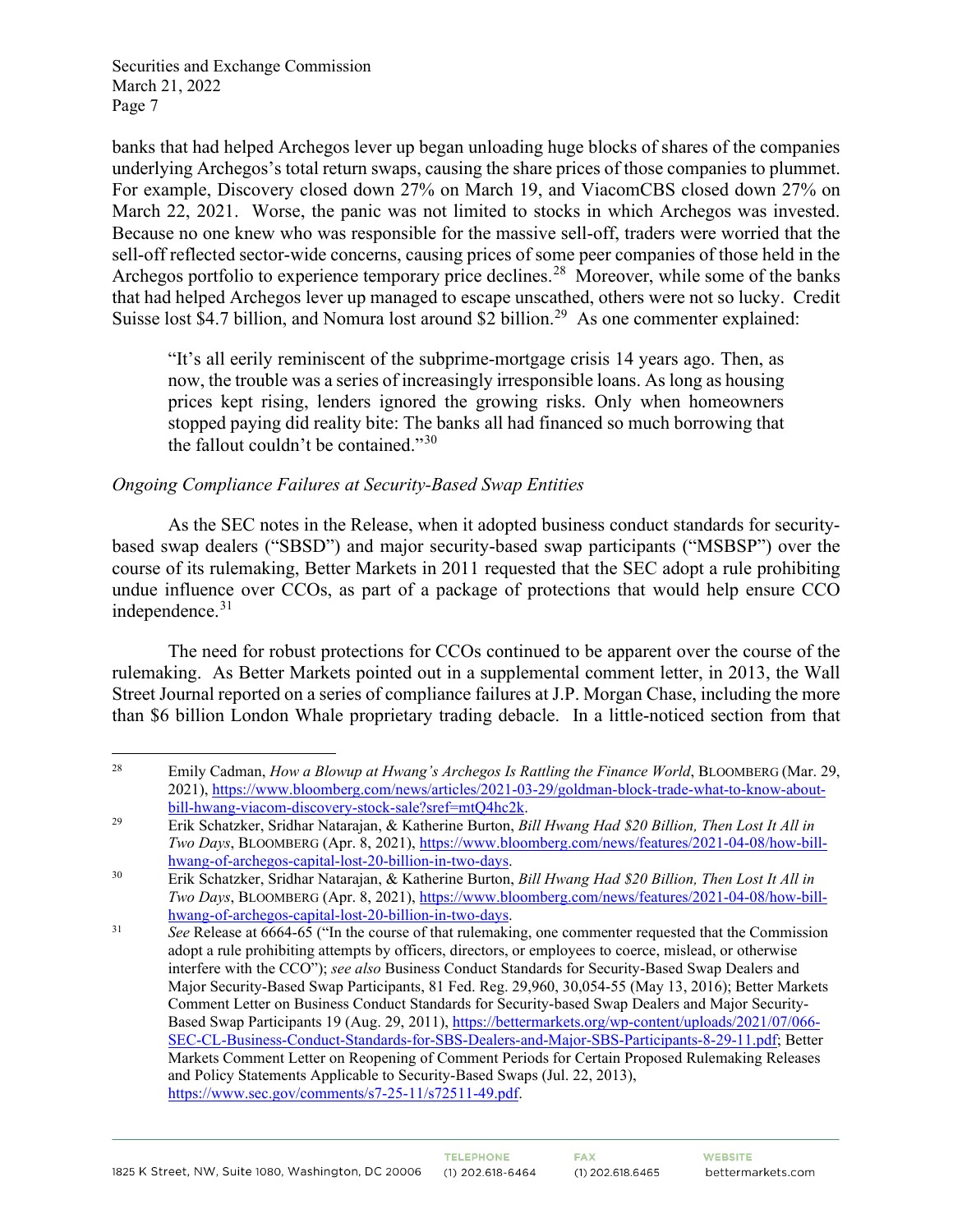banks that had helped Archegos lever up began unloading huge blocks of shares of the companies underlying Archegos's total return swaps, causing the share prices of those companies to plummet. For example, Discovery closed down 27% on March 19, and ViacomCBS closed down 27% on March 22, 2021. Worse, the panic was not limited to stocks in which Archegos was invested. Because no one knew who was responsible for the massive sell-off, traders were worried that the sell-off reflected sector-wide concerns, causing prices of some peer companies of those held in the Archegos portfolio to experience temporary price declines.<sup>28</sup> Moreover, while some of the banks that had helped Archegos lever up managed to escape unscathed, others were not so lucky. Credit Suisse lost \$4.7 billion, and Nomura lost around \$2 billion.<sup>29</sup> As one commenter explained:

"It's all eerily reminiscent of the subprime-mortgage crisis 14 years ago. Then, as now, the trouble was a series of increasingly irresponsible loans. As long as housing prices kept rising, lenders ignored the growing risks. Only when homeowners stopped paying did reality bite: The banks all had financed so much borrowing that the fallout couldn't be contained." $30$ 

## *Ongoing Compliance Failures at Security-Based Swap Entities*

 As the SEC notes in the Release, when it adopted business conduct standards for securitybased swap dealers ("SBSD") and major security-based swap participants ("MSBSP") over the course of its rulemaking, Better Markets in 2011 requested that the SEC adopt a rule prohibiting undue influence over CCOs, as part of a package of protections that would help ensure CCO independence.<sup>31</sup>

The need for robust protections for CCOs continued to be apparent over the course of the rulemaking. As Better Markets pointed out in a supplemental comment letter, in 2013, the Wall Street Journal reported on a series of compliance failures at J.P. Morgan Chase, including the more than \$6 billion London Whale proprietary trading debacle. In a little-noticed section from that

<span id="page-6-0"></span><sup>&</sup>lt;sup>28</sup> Emily Cadman, *How a Blowup at Hwang's Archegos Is Rattling the Finance World*, BLOOMBERG (Mar. 29, 2021), https://www.bloomberg.com/news/articles/2021-03-29/goldman-block-trade-what-to-know-about-<br>bill-hwang-viacom-discovery-stock-sale?sref=mtO4hc2k.

<span id="page-6-1"></span><sup>&</sup>lt;sup>29</sup> Erik Schatzker, Sridhar Natarajan, & Katherine Burton, *Bill Hwang Had \$20 Billion, Then Lost It All in Two Days*, BLOOMBERG (Apr. 8, 2021), https://www.bloomberg.com/news/features/2021-04-08/how-bill-<br>hwang-of-archegos-capital-lost-20-billion-in-two-days.

<span id="page-6-2"></span><sup>&</sup>lt;sup>30</sup> Erik Schatzker, Sridhar Natarajan, & Katherine Burton, *Bill Hwang Had \$20 Billion, Then Lost It All in Two Days*, BLOOMBERG (Apr. 8, 2021), https://www.bloomberg.com/news/features/2021-04-08/how-bill-<br>hwang-of-archegos-capital-lost-20-billion-in-two-days.

<span id="page-6-3"></span><sup>&</sup>lt;sup>31</sup> *See* Release at 6664-65 ("In the course of that rulemaking, one commenter requested that the Commission adopt a rule prohibiting attempts by officers, directors, or employees to coerce, mislead, or otherwise interfere with the CCO"); *see also* Business Conduct Standards for Security-Based Swap Dealers and Major Security-Based Swap Participants, 81 Fed. Reg. 29,960, 30,054-55 (May 13, 2016); Better Markets Comment Letter on Business Conduct Standards for Security-based Swap Dealers and Major Security-Based Swap Participants 19 (Aug. 29, 2011), [https://bettermarkets.org/wp-content/uploads/2021/07/066-](https://bettermarkets.org/wp-content/uploads/2021/07/066-SEC-CL-Business-Conduct-Standards-for-SBS-Dealers-and-Major-SBS-Participants-8-29-11.pdf) [SEC-CL-Business-Conduct-Standards-for-SBS-Dealers-and-Major-SBS-Participants-8-29-11.pdf;](https://bettermarkets.org/wp-content/uploads/2021/07/066-SEC-CL-Business-Conduct-Standards-for-SBS-Dealers-and-Major-SBS-Participants-8-29-11.pdf) Better Markets Comment Letter on Reopening of Comment Periods for Certain Proposed Rulemaking Releases and Policy Statements Applicable to Security-Based Swaps (Jul. 22, 2013), [https://www.sec.gov/comments/s7-25-11/s72511-49.pdf.](https://www.sec.gov/comments/s7-25-11/s72511-49.pdf)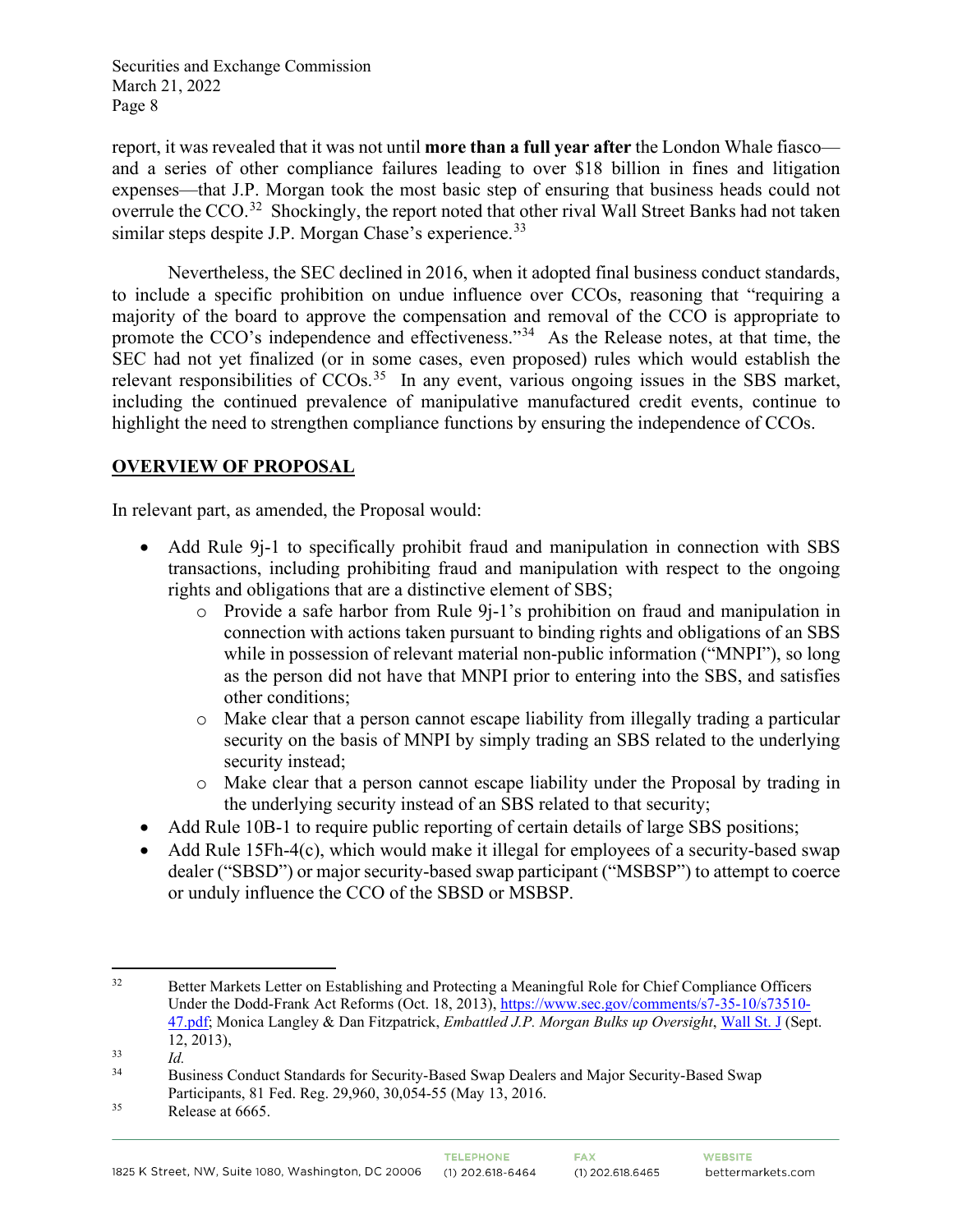report, it was revealed that it was not until **more than a full year after** the London Whale fiasco and a series of other compliance failures leading to over \$18 billion in fines and litigation expenses—that J.P. Morgan took the most basic step of ensuring that business heads could not overrule the CCO.<sup>32</sup> Shockingly, the report noted that other rival Wall Street Banks had not taken similar steps despite J.P. Morgan Chase's experience.<sup>[33](#page-7-1)</sup>

Nevertheless, the SEC declined in 2016, when it adopted final business conduct standards, to include a specific prohibition on undue influence over CCOs, reasoning that "requiring a majority of the board to approve the compensation and removal of the CCO is appropriate to promote the CCO's independence and effectiveness."<sup>34</sup> As the Release notes, at that time, the SEC had not yet finalized (or in some cases, even proposed) rules which would establish the relevant responsibilities of  $CCOs$ <sup>[35](#page-7-3)</sup> In any event, various ongoing issues in the SBS market, including the continued prevalence of manipulative manufactured credit events, continue to highlight the need to strengthen compliance functions by ensuring the independence of CCOs.

# **OVERVIEW OF PROPOSAL**

In relevant part, as amended, the Proposal would:

- Add Rule 9<sub>1</sub>-1 to specifically prohibit fraud and manipulation in connection with SBS transactions, including prohibiting fraud and manipulation with respect to the ongoing rights and obligations that are a distinctive element of SBS;
	- o Provide a safe harbor from Rule 9j-1's prohibition on fraud and manipulation in connection with actions taken pursuant to binding rights and obligations of an SBS while in possession of relevant material non-public information ("MNPI"), so long as the person did not have that MNPI prior to entering into the SBS, and satisfies other conditions;
	- o Make clear that a person cannot escape liability from illegally trading a particular security on the basis of MNPI by simply trading an SBS related to the underlying security instead;
	- o Make clear that a person cannot escape liability under the Proposal by trading in the underlying security instead of an SBS related to that security;
- Add Rule 10B-1 to require public reporting of certain details of large SBS positions;
- Add Rule 15Fh-4(c), which would make it illegal for employees of a security-based swap dealer ("SBSD") or major security-based swap participant ("MSBSP") to attempt to coerce or unduly influence the CCO of the SBSD or MSBSP.

<span id="page-7-0"></span><sup>&</sup>lt;sup>32</sup> Better Markets Letter on Establishing and Protecting a Meaningful Role for Chief Compliance Officers Under the Dodd-Frank Act Reforms (Oct. 18, 2013)[, https://www.sec.gov/comments/s7-35-10/s73510-](https://www.sec.gov/comments/s7-35-10/s73510-47.pdf) [47.pdf;](https://www.sec.gov/comments/s7-35-10/s73510-47.pdf) Monica Langley & Dan Fitzpatrick, *Embattled J.P. Morgan Bulks up Oversight*, [Wall St. J \(](https://www.wsj.com/articles/embattled-jp-morgan-bulks-up-oversight-1379029490)Sept. 12, 2013),<br><sup>33</sup> *Id.*<br><sup>34</sup> Pusiness C

<span id="page-7-2"></span><span id="page-7-1"></span><sup>34</sup> Business Conduct Standards for Security-Based Swap Dealers and Major Security-Based Swap Participants, 81 Fed. Reg. 29,960, 30,054-55 (May 13, 2016.<br>Release at 6665.

<span id="page-7-3"></span>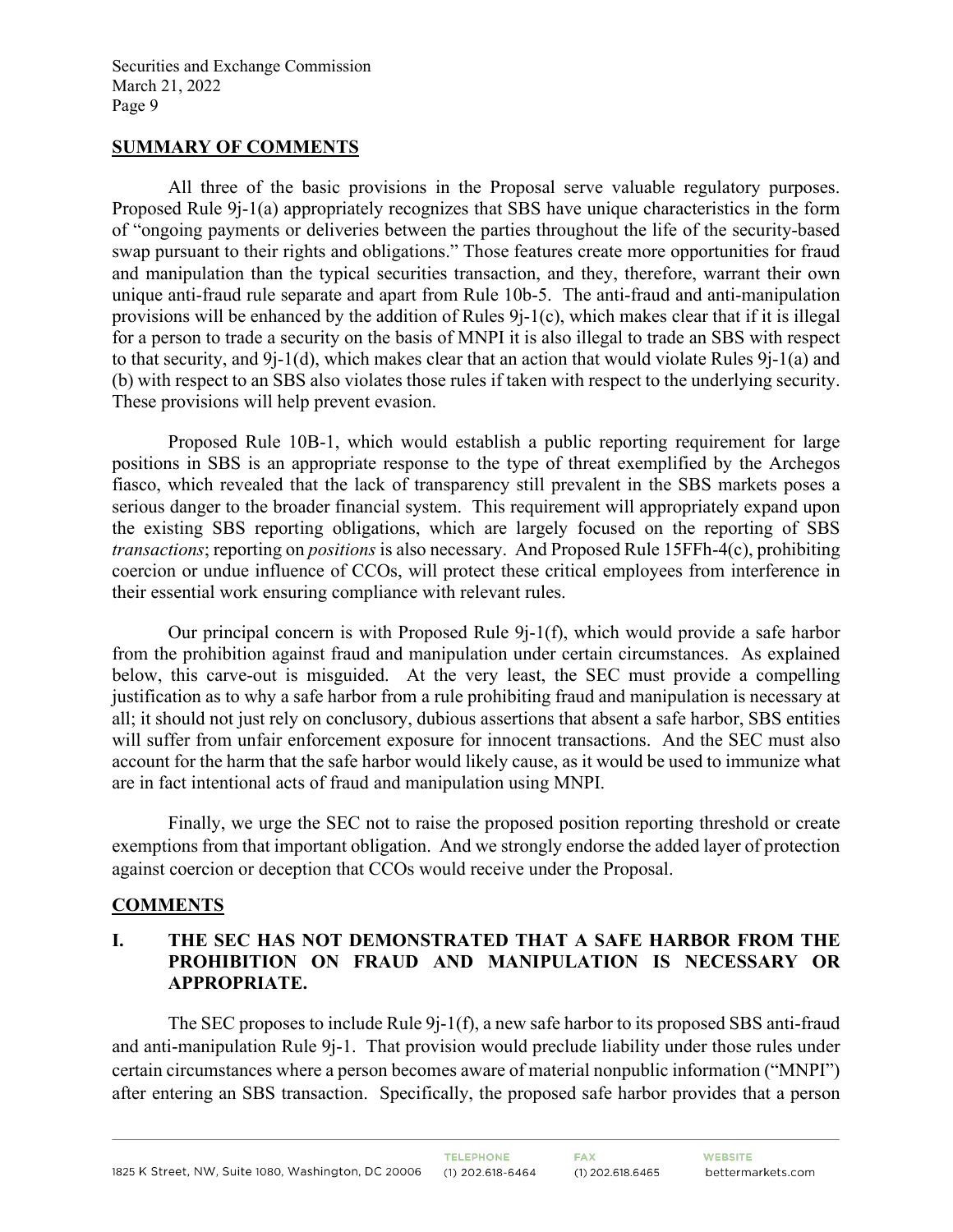#### **SUMMARY OF COMMENTS**

All three of the basic provisions in the Proposal serve valuable regulatory purposes. Proposed Rule 9j-1(a) appropriately recognizes that SBS have unique characteristics in the form of "ongoing payments or deliveries between the parties throughout the life of the security-based swap pursuant to their rights and obligations." Those features create more opportunities for fraud and manipulation than the typical securities transaction, and they, therefore, warrant their own unique anti-fraud rule separate and apart from Rule 10b-5. The anti-fraud and anti-manipulation provisions will be enhanced by the addition of Rules 9j-1(c), which makes clear that if it is illegal for a person to trade a security on the basis of MNPI it is also illegal to trade an SBS with respect to that security, and 9j-1(d), which makes clear that an action that would violate Rules 9j-1(a) and (b) with respect to an SBS also violates those rules if taken with respect to the underlying security. These provisions will help prevent evasion.

Proposed Rule 10B-1, which would establish a public reporting requirement for large positions in SBS is an appropriate response to the type of threat exemplified by the Archegos fiasco, which revealed that the lack of transparency still prevalent in the SBS markets poses a serious danger to the broader financial system. This requirement will appropriately expand upon the existing SBS reporting obligations, which are largely focused on the reporting of SBS *transactions*; reporting on *positions* is also necessary. And Proposed Rule 15FFh-4(c), prohibiting coercion or undue influence of CCOs, will protect these critical employees from interference in their essential work ensuring compliance with relevant rules.

Our principal concern is with Proposed Rule 9j-1(f), which would provide a safe harbor from the prohibition against fraud and manipulation under certain circumstances. As explained below, this carve-out is misguided. At the very least, the SEC must provide a compelling justification as to why a safe harbor from a rule prohibiting fraud and manipulation is necessary at all; it should not just rely on conclusory, dubious assertions that absent a safe harbor, SBS entities will suffer from unfair enforcement exposure for innocent transactions. And the SEC must also account for the harm that the safe harbor would likely cause, as it would be used to immunize what are in fact intentional acts of fraud and manipulation using MNPI.

Finally, we urge the SEC not to raise the proposed position reporting threshold or create exemptions from that important obligation. And we strongly endorse the added layer of protection against coercion or deception that CCOs would receive under the Proposal.

## **COMMENTS**

# **I. THE SEC HAS NOT DEMONSTRATED THAT A SAFE HARBOR FROM THE PROHIBITION ON FRAUD AND MANIPULATION IS NECESSARY OR APPROPRIATE.**

The SEC proposes to include Rule 9j-1(f), a new safe harbor to its proposed SBS anti-fraud and anti-manipulation Rule 9j-1. That provision would preclude liability under those rules under certain circumstances where a person becomes aware of material nonpublic information ("MNPI") after entering an SBS transaction. Specifically, the proposed safe harbor provides that a person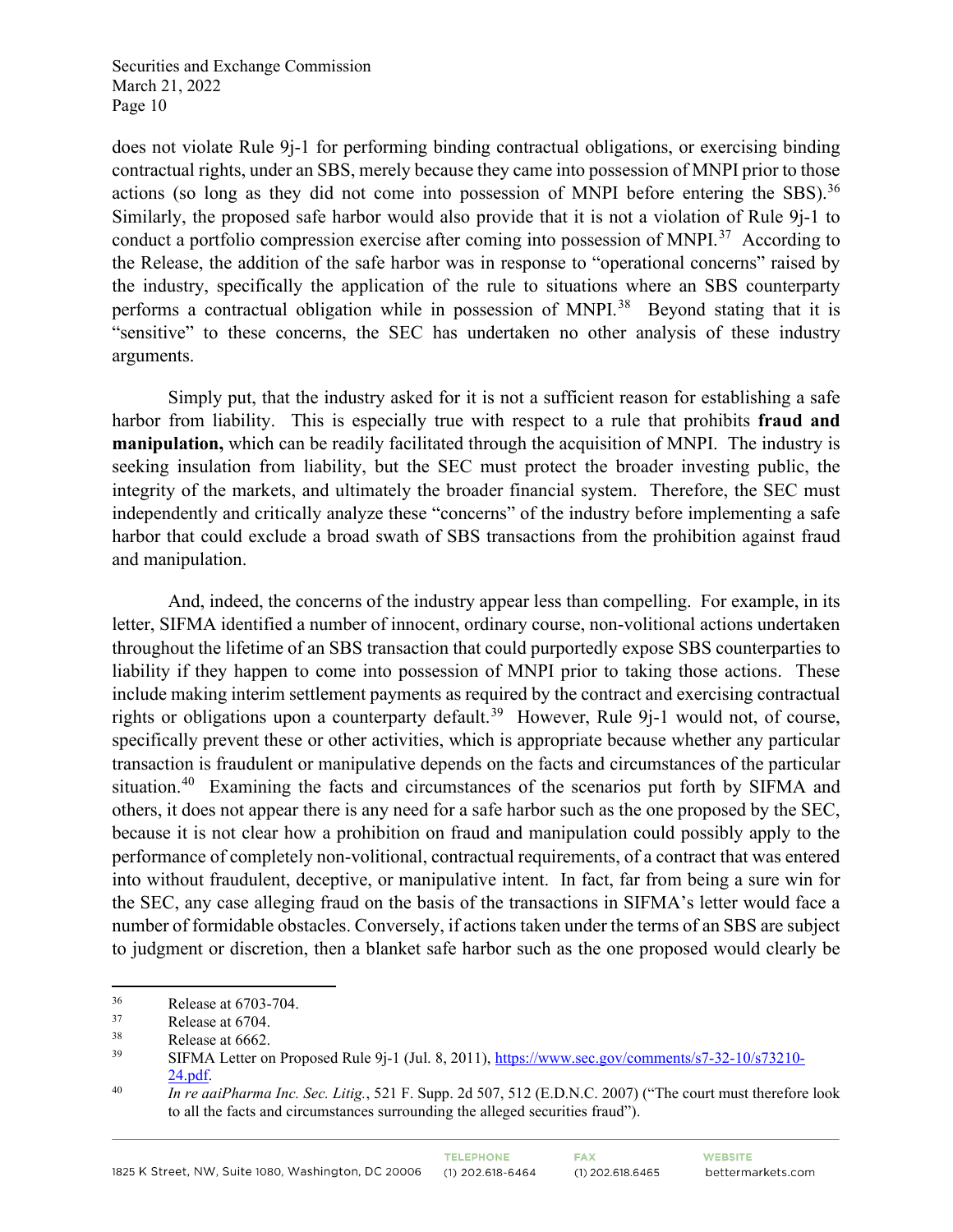does not violate Rule 9j-1 for performing binding contractual obligations, or exercising binding contractual rights, under an SBS, merely because they came into possession of MNPI prior to those actions (so long as they did not come into possession of MNPI before entering the SBS).<sup>[36](#page-9-0)</sup> Similarly, the proposed safe harbor would also provide that it is not a violation of Rule 9j-1 to conduct a portfolio compression exercise after coming into possession of MNPI.<sup>[37](#page-9-1)</sup> According to the Release, the addition of the safe harbor was in response to "operational concerns" raised by the industry, specifically the application of the rule to situations where an SBS counterparty performs a contractual obligation while in possession of MNPI.<sup>[38](#page-9-2)</sup> Beyond stating that it is "sensitive" to these concerns, the SEC has undertaken no other analysis of these industry arguments.

Simply put, that the industry asked for it is not a sufficient reason for establishing a safe harbor from liability. This is especially true with respect to a rule that prohibits **fraud and manipulation,** which can be readily facilitated through the acquisition of MNPI. The industry is seeking insulation from liability, but the SEC must protect the broader investing public, the integrity of the markets, and ultimately the broader financial system. Therefore, the SEC must independently and critically analyze these "concerns" of the industry before implementing a safe harbor that could exclude a broad swath of SBS transactions from the prohibition against fraud and manipulation.

And, indeed, the concerns of the industry appear less than compelling. For example, in its letter, SIFMA identified a number of innocent, ordinary course, non-volitional actions undertaken throughout the lifetime of an SBS transaction that could purportedly expose SBS counterparties to liability if they happen to come into possession of MNPI prior to taking those actions. These include making interim settlement payments as required by the contract and exercising contractual rights or obligations upon a counterparty default.<sup>39</sup> However, Rule 9 $i-1$  would not, of course, specifically prevent these or other activities, which is appropriate because whether any particular transaction is fraudulent or manipulative depends on the facts and circumstances of the particular situation.<sup>[40](#page-9-4)</sup> Examining the facts and circumstances of the scenarios put forth by SIFMA and others, it does not appear there is any need for a safe harbor such as the one proposed by the SEC, because it is not clear how a prohibition on fraud and manipulation could possibly apply to the performance of completely non-volitional, contractual requirements, of a contract that was entered into without fraudulent, deceptive, or manipulative intent. In fact, far from being a sure win for the SEC, any case alleging fraud on the basis of the transactions in SIFMA's letter would face a number of formidable obstacles. Conversely, if actions taken under the terms of an SBS are subject to judgment or discretion, then a blanket safe harbor such as the one proposed would clearly be

<span id="page-9-1"></span><span id="page-9-0"></span> $\frac{36}{37}$  Release at 6703-704.<br>
Release at 6704.<br>
Release at 6662.

<span id="page-9-2"></span> $\frac{38}{39}$  Release at 6662.

<span id="page-9-3"></span><sup>39</sup> SIFMA Letter on Proposed Rule 9j-1 (Jul. 8, 2011), [https://www.sec.gov/comments/s7-32-10/s73210-](https://www.sec.gov/comments/s7-32-10/s73210-24.pdf)

<span id="page-9-4"></span><sup>&</sup>lt;sup>24.pdf</sup>. *In re aaiPharma Inc. Sec. Litig.*, 521 F. Supp. 2d 507, 512 (E.D.N.C. 2007) ("The court must therefore look to all the facts and circumstances surrounding the alleged securities fraud").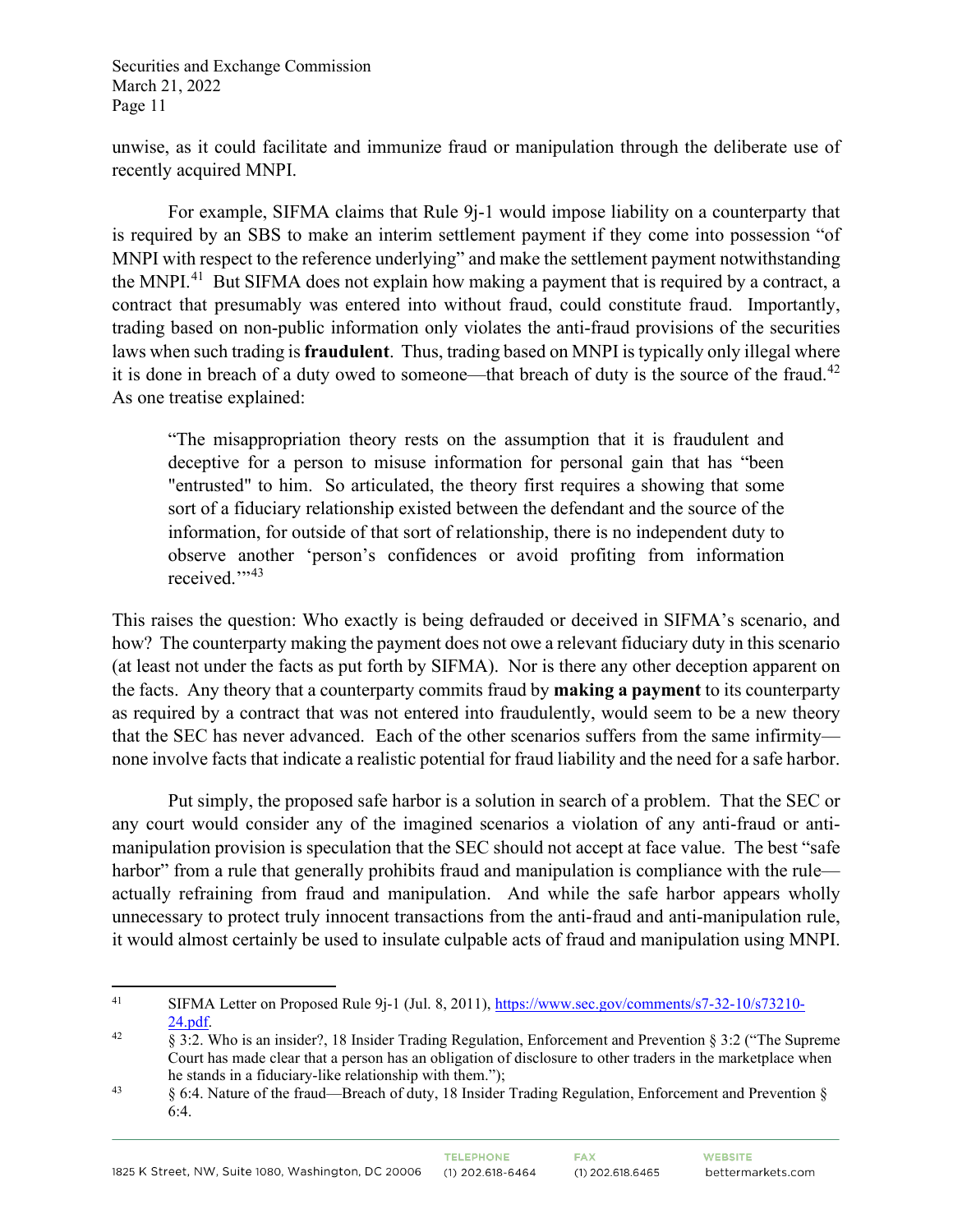unwise, as it could facilitate and immunize fraud or manipulation through the deliberate use of recently acquired MNPI.

For example, SIFMA claims that Rule 9j-1 would impose liability on a counterparty that is required by an SBS to make an interim settlement payment if they come into possession "of MNPI with respect to the reference underlying" and make the settlement payment notwithstanding the MNPI.<sup>[41](#page-10-0)</sup> But SIFMA does not explain how making a payment that is required by a contract, a contract that presumably was entered into without fraud, could constitute fraud. Importantly, trading based on non-public information only violates the anti-fraud provisions of the securities laws when such trading is **fraudulent**. Thus, trading based on MNPI is typically only illegal where it is done in breach of a duty owed to someone—that breach of duty is the source of the fraud.<sup>[42](#page-10-1)</sup> As one treatise explained:

"The misappropriation theory rests on the assumption that it is fraudulent and deceptive for a person to misuse information for personal gain that has "been "entrusted" to him. So articulated, the theory first requires a showing that some sort of a fiduciary relationship existed between the defendant and the source of the information, for outside of that sort of relationship, there is no independent duty to observe another 'person's confidences or avoid profiting from information received."<sup>[43](#page-10-2)</sup>

This raises the question: Who exactly is being defrauded or deceived in SIFMA's scenario, and how? The counterparty making the payment does not owe a relevant fiduciary duty in this scenario (at least not under the facts as put forth by SIFMA). Nor is there any other deception apparent on the facts. Any theory that a counterparty commits fraud by **making a payment** to its counterparty as required by a contract that was not entered into fraudulently, would seem to be a new theory that the SEC has never advanced. Each of the other scenarios suffers from the same infirmity none involve facts that indicate a realistic potential for fraud liability and the need for a safe harbor.

Put simply, the proposed safe harbor is a solution in search of a problem. That the SEC or any court would consider any of the imagined scenarios a violation of any anti-fraud or antimanipulation provision is speculation that the SEC should not accept at face value. The best "safe harbor" from a rule that generally prohibits fraud and manipulation is compliance with the rule actually refraining from fraud and manipulation. And while the safe harbor appears wholly unnecessary to protect truly innocent transactions from the anti-fraud and anti-manipulation rule, it would almost certainly be used to insulate culpable acts of fraud and manipulation using MNPI.

<span id="page-10-0"></span><sup>41</sup> SIFMA Letter on Proposed Rule 9j-1 (Jul. 8, 2011), [https://www.sec.gov/comments/s7-32-10/s73210-](https://www.sec.gov/comments/s7-32-10/s73210-24.pdf)

<span id="page-10-1"></span><sup>&</sup>lt;sup>24.pdf</sup>. <sup>42</sup> § 3:2. Who is an insider?, 18 Insider Trading Regulation, Enforcement and Prevention § 3:2 ("The Supreme Court has made clear that a person has an obligation of disclosure to other traders in the marketplace when<br>he stands in a fiduciary-like relationship with them.");

<span id="page-10-2"></span><sup>&</sup>lt;sup>43</sup> § 6:4. Nature of the fraud—Breach of duty, 18 Insider Trading Regulation, Enforcement and Prevention § 6:4.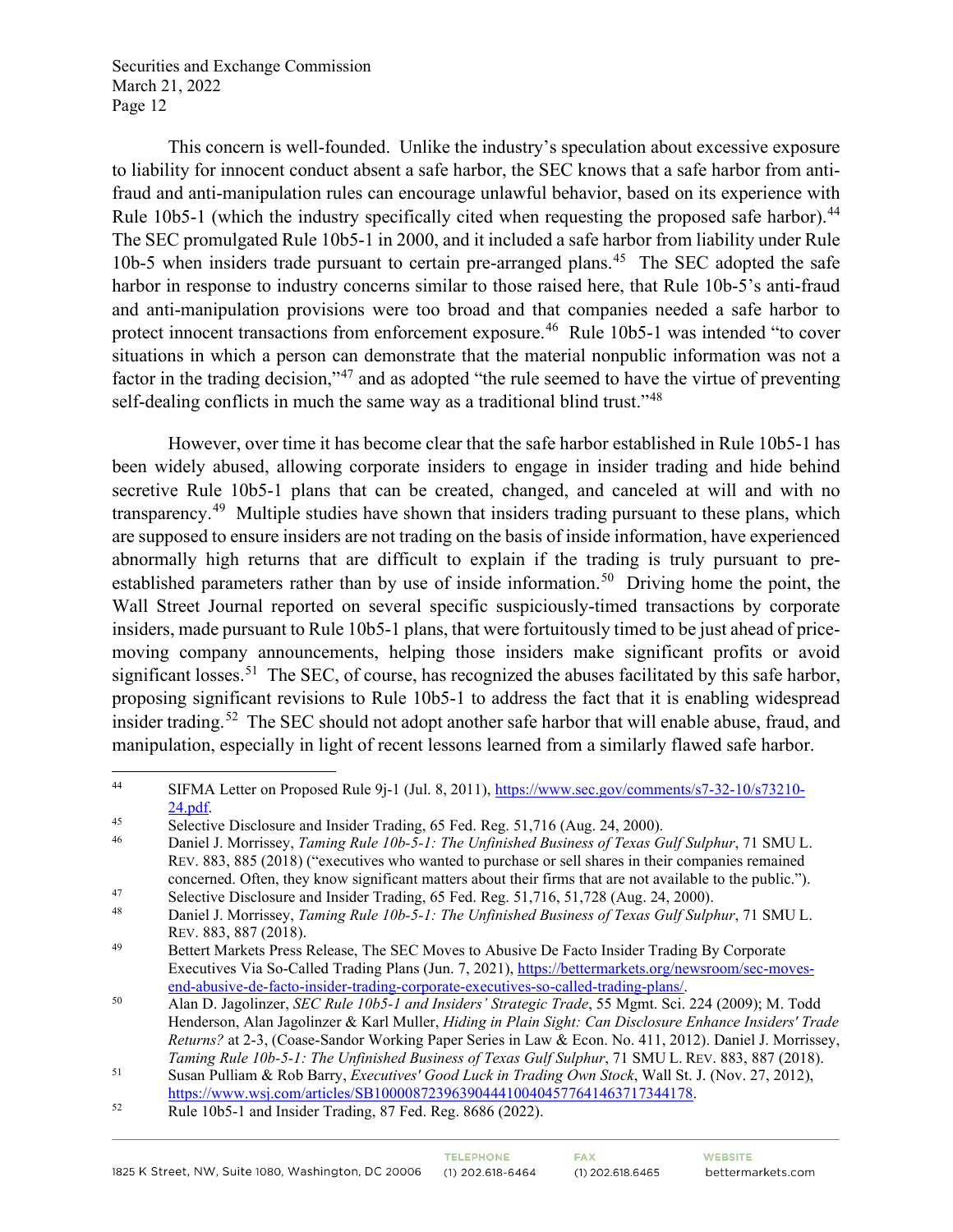This concern is well-founded. Unlike the industry's speculation about excessive exposure to liability for innocent conduct absent a safe harbor, the SEC knows that a safe harbor from antifraud and anti-manipulation rules can encourage unlawful behavior, based on its experience with Rule 10b5-1 (which the industry specifically cited when requesting the proposed safe harbor).<sup>[44](#page-11-0)</sup> The SEC promulgated Rule 10b5-1 in 2000, and it included a safe harbor from liability under Rule 10b-5 when insiders trade pursuant to certain pre-arranged plans.<sup>[45](#page-11-1)</sup> The SEC adopted the safe harbor in response to industry concerns similar to those raised here, that Rule 10b-5's anti-fraud and anti-manipulation provisions were too broad and that companies needed a safe harbor to protect innocent transactions from enforcement exposure.<sup>46</sup> Rule 10b5-1 was intended "to cover situations in which a person can demonstrate that the material nonpublic information was not a factor in the trading decision,"[47](#page-11-3) and as adopted "the rule seemed to have the virtue of preventing self-dealing conflicts in much the same way as a traditional blind trust."<sup>48</sup>

However, over time it has become clear that the safe harbor established in Rule 10b5-1 has been widely abused, allowing corporate insiders to engage in insider trading and hide behind secretive Rule 10b5-1 plans that can be created, changed, and canceled at will and with no transparency.<sup>49</sup> Multiple studies have shown that insiders trading pursuant to these plans, which are supposed to ensure insiders are not trading on the basis of inside information, have experienced abnormally high returns that are difficult to explain if the trading is truly pursuant to preestablished parameters rather than by use of inside information.<sup>50</sup> Driving home the point, the Wall Street Journal reported on several specific suspiciously-timed transactions by corporate insiders, made pursuant to Rule 10b5-1 plans, that were fortuitously timed to be just ahead of pricemoving company announcements, helping those insiders make significant profits or avoid significant losses.<sup>51</sup> The SEC, of course, has recognized the abuses facilitated by this safe harbor, proposing significant revisions to Rule 10b5-1 to address the fact that it is enabling widespread insider trading.<sup>[52](#page-11-8)</sup> The SEC should not adopt another safe harbor that will enable abuse, fraud, and manipulation, especially in light of recent lessons learned from a similarly flawed safe harbor.

<span id="page-11-0"></span><sup>44</sup> SIFMA Letter on Proposed Rule 9j-1 (Jul. 8, 2011), [https://www.sec.gov/comments/s7-32-10/s73210-](https://www.sec.gov/comments/s7-32-10/s73210-24.pdf)  $\frac{24. \text{pdf}}{45}$  Selective Disclosure and Insider Trading, 65 Fed. Reg. 51,716 (Aug. 24, 2000).

<span id="page-11-1"></span>

<span id="page-11-2"></span><sup>46</sup> Daniel J. Morrissey, *Taming Rule 10b-5-1: The Unfinished Business of Texas Gulf Sulphur*, 71 SMU L. REV. 883, 885 (2018) ("executives who wanted to purchase or sell shares in their companies remained concerned. Often, they know significant matters about their firms that are not available to the public.").

<span id="page-11-3"></span><sup>47</sup> Selective Disclosure and Insider Trading, 65 Fed. Reg. 51,716, 51,728 (Aug. 24, 2000).<br>48 Daniel J. Morrissour, Taming Puls 10b, 5, 1; The Unfinished Pusiness of Taxes Cult Sulpi

<span id="page-11-4"></span><sup>48</sup> Daniel J. Morrissey, *Taming Rule 10b-5-1: The Unfinished Business of Texas Gulf Sulphur*, 71 SMU L. REV. 883, 887 (2018).<br>
Bettert Markets Press Release, The SEC Moves to Abusive De Facto Insider Trading By Corporate

<span id="page-11-5"></span>Executives Via So-Called Trading Plans (Jun. 7, 2021), https://bettermarkets.org/newsroom/sec-moves-<br>end-abusive-de-facto-insider-trading-corporate-executives-so-called-trading-plans/.

<span id="page-11-6"></span><sup>&</sup>lt;sup>50</sup> Alan D. Jagolinzer, *SEC Rule 10b5-1 and Insiders' Strategic Trade*, 55 Mgmt. Sci. 224 (2009); M. Todd Henderson, Alan Jagolinzer & Karl Muller, *Hiding in Plain Sight: Can Disclosure Enhance Insiders' Trade Returns?* at 2-3, (Coase-Sandor Working Paper Series in Law & Econ. No. 411, 2012). Daniel J. Morrissey,

<span id="page-11-7"></span>*Taming Rule 10b-5-1: The Unfinished Business of Texas Gulf Sulphur, 71 SMU L. REV. 883, 887 (2018).*<br><sup>51</sup> Susan Pulliam & Rob Barry, *Executives' Good Luck in Trading Own Stock*, Wall St. J. (Nov. 27, 2012), [https://www.wsj.com/articles/SB10000872396390444100404577641463717344178.](https://www.wsj.com/articles/SB10000872396390444100404577641463717344178)<br>Rule 10b5-1 and Insider Trading, 87 Fed. Reg. 8686 (2022).

<span id="page-11-8"></span>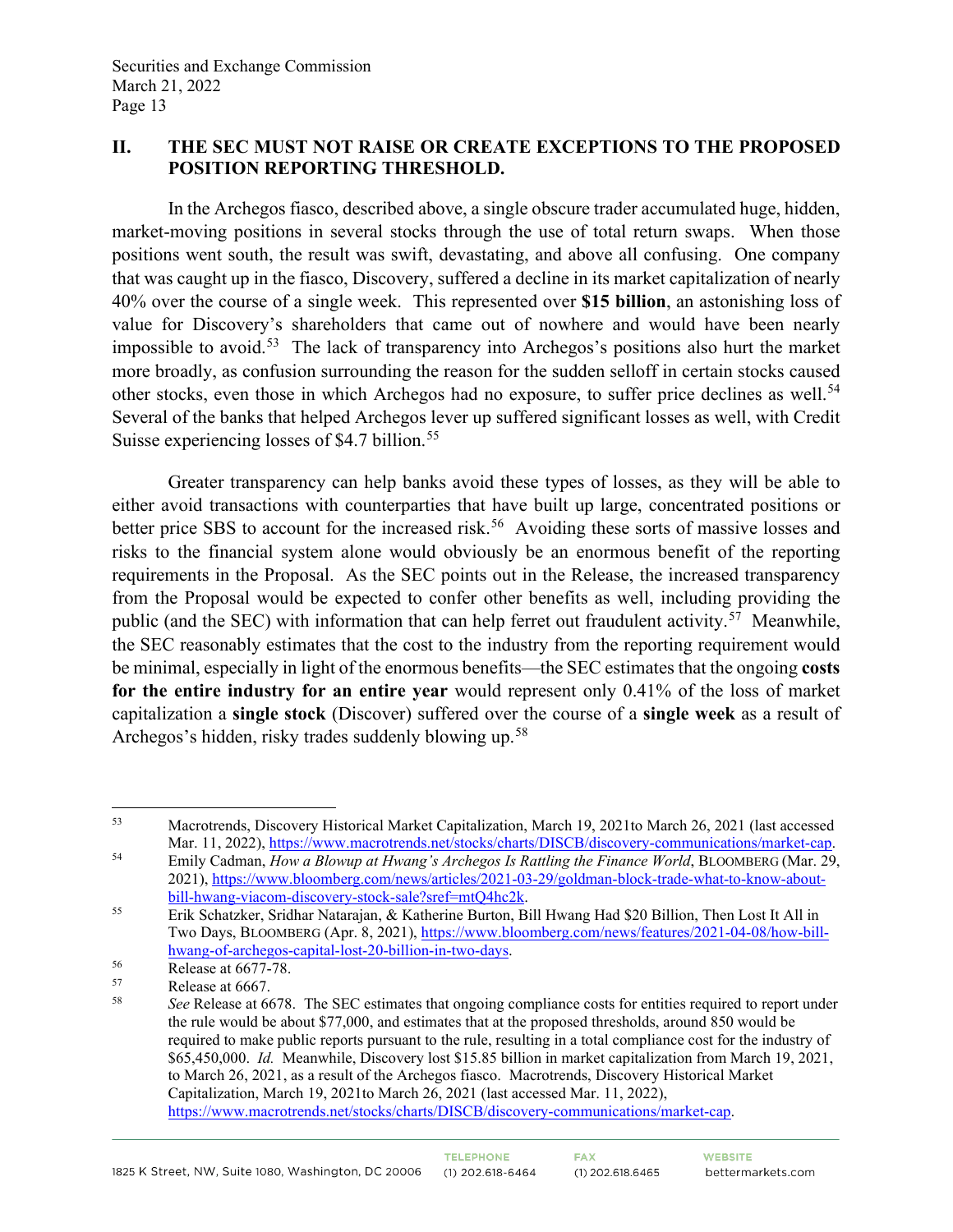# **II. THE SEC MUST NOT RAISE OR CREATE EXCEPTIONS TO THE PROPOSED POSITION REPORTING THRESHOLD.**

In the Archegos fiasco, described above, a single obscure trader accumulated huge, hidden, market-moving positions in several stocks through the use of total return swaps. When those positions went south, the result was swift, devastating, and above all confusing. One company that was caught up in the fiasco, Discovery, suffered a decline in its market capitalization of nearly 40% over the course of a single week. This represented over **\$15 billion**, an astonishing loss of value for Discovery's shareholders that came out of nowhere and would have been nearly impossible to avoid.[53](#page-12-0) The lack of transparency into Archegos's positions also hurt the market more broadly, as confusion surrounding the reason for the sudden selloff in certain stocks caused other stocks, even those in which Archegos had no exposure, to suffer price declines as well.<sup>[54](#page-12-1)</sup> Several of the banks that helped Archegos lever up suffered significant losses as well, with Credit Suisse experiencing losses of \$4.7 billion.<sup>[55](#page-12-2)</sup>

Greater transparency can help banks avoid these types of losses, as they will be able to either avoid transactions with counterparties that have built up large, concentrated positions or better price SBS to account for the increased risk.<sup>56</sup> Avoiding these sorts of massive losses and risks to the financial system alone would obviously be an enormous benefit of the reporting requirements in the Proposal. As the SEC points out in the Release, the increased transparency from the Proposal would be expected to confer other benefits as well, including providing the public (and the SEC) with information that can help ferret out fraudulent activity.<sup>57</sup> Meanwhile, the SEC reasonably estimates that the cost to the industry from the reporting requirement would be minimal, especially in light of the enormous benefits—the SEC estimates that the ongoing **costs for the entire industry for an entire year** would represent only 0.41% of the loss of market capitalization a **single stock** (Discover) suffered over the course of a **single week** as a result of Archegos's hidden, risky trades suddenly blowing up.<sup>[58](#page-12-5)</sup>

<span id="page-12-0"></span><sup>53</sup> Macrotrends, Discovery Historical Market Capitalization, March 19, 2021to March 26, 2021 (last accessed

<span id="page-12-1"></span>Mar. 11, 2022), [https://www.macrotrends.net/stocks/charts/DISCB/discovery-communications/market-cap.](https://www.macrotrends.net/stocks/charts/DISCB/discovery-communications/market-cap)<br>
54 Emily Cadman, *How a Blowup at Hwang's Archegos Is Rattling the Finance World*, BLOOMBERG (Mar. 29, 2021), [https://www.bloomberg.com/news/articles/2021-03-29/goldman-block-trade-what-to-know-about](https://www.bloomberg.com/news/articles/2021-03-29/goldman-block-trade-what-to-know-about-bill-hwang-viacom-discovery-stock-sale?sref=mtQ4hc2k)[bill-hwang-viacom-discovery-stock-sale?sref=mtQ4hc2k.](https://www.bloomberg.com/news/articles/2021-03-29/goldman-block-trade-what-to-know-about-bill-hwang-viacom-discovery-stock-sale?sref=mtQ4hc2k) 55 Erik Schatzker, Sridhar Natarajan, & Katherine Burton, Bill Hwang Had \$20 Billion, Then Lost It All in

<span id="page-12-2"></span>Two Days, BLOOMBERG (Apr. 8, 2021)[, https://www.bloomberg.com/news/features/2021-04-08/how-bill](https://www.bloomberg.com/news/features/2021-04-08/how-bill-hwang-of-archegos-capital-lost-20-billion-in-two-days)[hwang-of-archegos-capital-lost-20-billion-in-two-days.](https://www.bloomberg.com/news/features/2021-04-08/how-bill-hwang-of-archegos-capital-lost-20-billion-in-two-days)<br>
Release at 6677-78.<br>
Pelegos et 6667

<span id="page-12-4"></span><span id="page-12-3"></span> $57$  Release at 6667.

<span id="page-12-5"></span><sup>58</sup> *See* Release at 6678. The SEC estimates that ongoing compliance costs for entities required to report under the rule would be about \$77,000, and estimates that at the proposed thresholds, around 850 would be required to make public reports pursuant to the rule, resulting in a total compliance cost for the industry of \$65,450,000. *Id.* Meanwhile, Discovery lost \$15.85 billion in market capitalization from March 19, 2021, to March 26, 2021, as a result of the Archegos fiasco. Macrotrends, Discovery Historical Market Capitalization, March 19, 2021to March 26, 2021 (last accessed Mar. 11, 2022), [https://www.macrotrends.net/stocks/charts/DISCB/discovery-communications/market-cap.](https://www.macrotrends.net/stocks/charts/DISCB/discovery-communications/market-cap)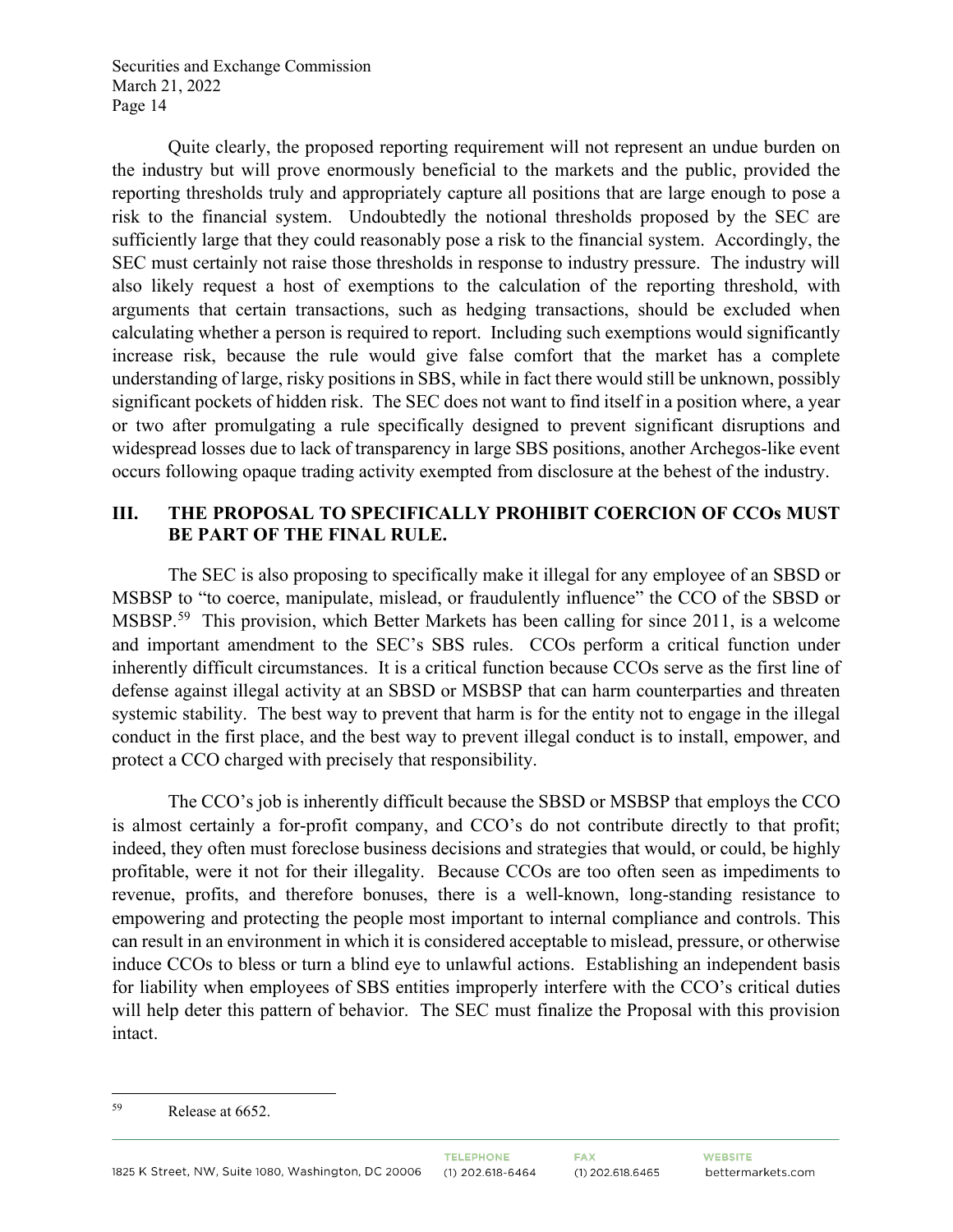Quite clearly, the proposed reporting requirement will not represent an undue burden on the industry but will prove enormously beneficial to the markets and the public, provided the reporting thresholds truly and appropriately capture all positions that are large enough to pose a risk to the financial system. Undoubtedly the notional thresholds proposed by the SEC are sufficiently large that they could reasonably pose a risk to the financial system. Accordingly, the SEC must certainly not raise those thresholds in response to industry pressure. The industry will also likely request a host of exemptions to the calculation of the reporting threshold, with arguments that certain transactions, such as hedging transactions, should be excluded when calculating whether a person is required to report. Including such exemptions would significantly increase risk, because the rule would give false comfort that the market has a complete understanding of large, risky positions in SBS, while in fact there would still be unknown, possibly significant pockets of hidden risk. The SEC does not want to find itself in a position where, a year or two after promulgating a rule specifically designed to prevent significant disruptions and widespread losses due to lack of transparency in large SBS positions, another Archegos-like event occurs following opaque trading activity exempted from disclosure at the behest of the industry.

# **III. THE PROPOSAL TO SPECIFICALLY PROHIBIT COERCION OF CCOs MUST BE PART OF THE FINAL RULE.**

The SEC is also proposing to specifically make it illegal for any employee of an SBSD or MSBSP to "to coerce, manipulate, mislead, or fraudulently influence" the CCO of the SBSD or MSBSP.<sup>[59](#page-13-0)</sup> This provision, which Better Markets has been calling for since 2011, is a welcome and important amendment to the SEC's SBS rules. CCOs perform a critical function under inherently difficult circumstances. It is a critical function because CCOs serve as the first line of defense against illegal activity at an SBSD or MSBSP that can harm counterparties and threaten systemic stability. The best way to prevent that harm is for the entity not to engage in the illegal conduct in the first place, and the best way to prevent illegal conduct is to install, empower, and protect a CCO charged with precisely that responsibility.

The CCO's job is inherently difficult because the SBSD or MSBSP that employs the CCO is almost certainly a for-profit company, and CCO's do not contribute directly to that profit; indeed, they often must foreclose business decisions and strategies that would, or could, be highly profitable, were it not for their illegality. Because CCOs are too often seen as impediments to revenue, profits, and therefore bonuses, there is a well-known, long-standing resistance to empowering and protecting the people most important to internal compliance and controls. This can result in an environment in which it is considered acceptable to mislead, pressure, or otherwise induce CCOs to bless or turn a blind eye to unlawful actions. Establishing an independent basis for liability when employees of SBS entities improperly interfere with the CCO's critical duties will help deter this pattern of behavior. The SEC must finalize the Proposal with this provision intact.

<span id="page-13-0"></span><sup>59</sup> Release at 6652.